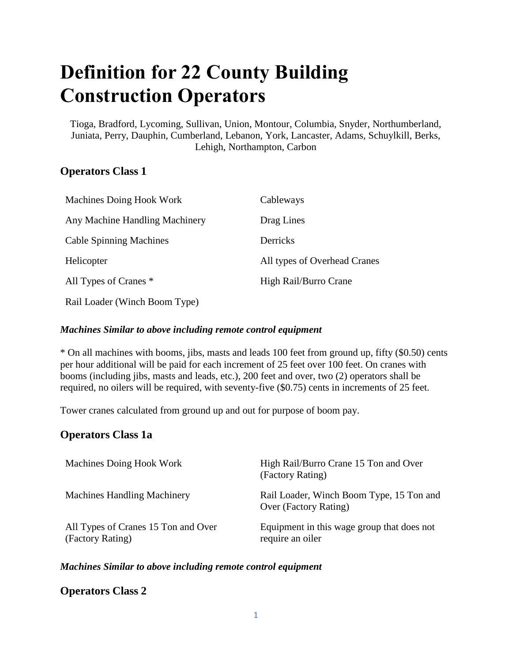# **Definition for 22 County Building Construction Operators**

Tioga, Bradford, Lycoming, Sullivan, Union, Montour, Columbia, Snyder, Northumberland, Juniata, Perry, Dauphin, Cumberland, Lebanon, York, Lancaster, Adams, Schuylkill, Berks, Lehigh, Northampton, Carbon

## **Operators Class 1**

| <b>Machines Doing Hook Work</b> | Cableways                    |
|---------------------------------|------------------------------|
| Any Machine Handling Machinery  | Drag Lines                   |
| <b>Cable Spinning Machines</b>  | Derricks                     |
| Helicopter                      | All types of Overhead Cranes |
| All Types of Cranes *           | High Rail/Burro Crane        |
| Rail Loader (Winch Boom Type)   |                              |

## *Machines Similar to above including remote control equipment*

\* On all machines with booms, jibs, masts and leads 100 feet from ground up, fifty (\$0.50) cents per hour additional will be paid for each increment of 25 feet over 100 feet. On cranes with booms (including jibs, masts and leads, etc.), 200 feet and over, two (2) operators shall be required, no oilers will be required, with seventy-five (\$0.75) cents in increments of 25 feet.

Tower cranes calculated from ground up and out for purpose of boom pay.

## **Operators Class 1a**

| Machines Doing Hook Work                                | High Rail/Burro Crane 15 Ton and Over<br>(Factory Rating)         |
|---------------------------------------------------------|-------------------------------------------------------------------|
| <b>Machines Handling Machinery</b>                      | Rail Loader, Winch Boom Type, 15 Ton and<br>Over (Factory Rating) |
| All Types of Cranes 15 Ton and Over<br>(Factory Rating) | Equipment in this wage group that does not<br>require an oiler    |

#### *Machines Similar to above including remote control equipment*

#### **Operators Class 2**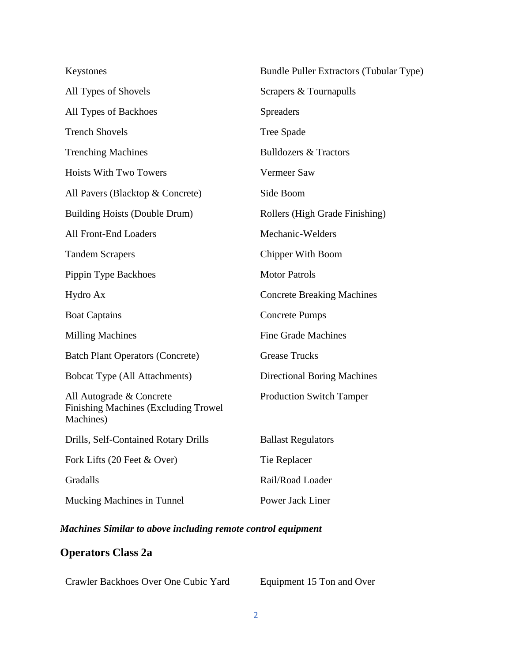| Keystones                                                                     | Bundle Puller Extractors (Tubular Type) |
|-------------------------------------------------------------------------------|-----------------------------------------|
| All Types of Shovels                                                          | Scrapers & Tournapulls                  |
| All Types of Backhoes                                                         | <b>Spreaders</b>                        |
| <b>Trench Shovels</b>                                                         | Tree Spade                              |
| <b>Trenching Machines</b>                                                     | <b>Bulldozers &amp; Tractors</b>        |
| <b>Hoists With Two Towers</b>                                                 | Vermeer Saw                             |
| All Pavers (Blacktop & Concrete)                                              | Side Boom                               |
| <b>Building Hoists (Double Drum)</b>                                          | Rollers (High Grade Finishing)          |
| All Front-End Loaders                                                         | Mechanic-Welders                        |
| <b>Tandem Scrapers</b>                                                        | Chipper With Boom                       |
| Pippin Type Backhoes                                                          | <b>Motor Patrols</b>                    |
| Hydro Ax                                                                      | <b>Concrete Breaking Machines</b>       |
| <b>Boat Captains</b>                                                          | <b>Concrete Pumps</b>                   |
| <b>Milling Machines</b>                                                       | <b>Fine Grade Machines</b>              |
| <b>Batch Plant Operators (Concrete)</b>                                       | <b>Grease Trucks</b>                    |
| <b>Bobcat Type (All Attachments)</b>                                          | <b>Directional Boring Machines</b>      |
| All Autograde & Concrete<br>Finishing Machines (Excluding Trowel<br>Machines) | <b>Production Switch Tamper</b>         |
| Drills, Self-Contained Rotary Drills                                          | <b>Ballast Regulators</b>               |
| Fork Lifts (20 Feet & Over)                                                   | Tie Replacer                            |
| Gradalls                                                                      | Rail/Road Loader                        |
| Mucking Machines in Tunnel                                                    | Power Jack Liner                        |

## *Machines Similar to above including remote control equipment*

## **Operators Class 2a**

| Crawler Backhoes Over One Cubic Yard | Equipment 15 Ton and Over |
|--------------------------------------|---------------------------|
|--------------------------------------|---------------------------|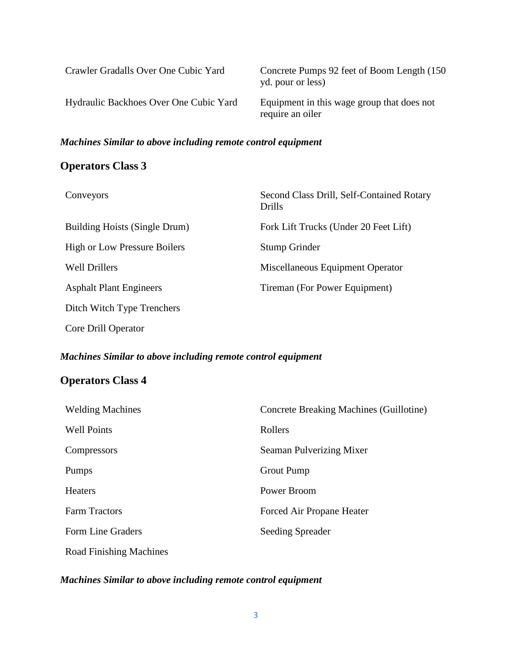| Crawler Gradalls Over One Cubic Yard   | Concrete Pumps 92 feet of Boom Length (150)<br>yd. pour or less) |
|----------------------------------------|------------------------------------------------------------------|
| Hydraulic Backhoes Over One Cubic Yard | Equipment in this wage group that does not<br>require an oiler   |

#### *Machines Similar to above including remote control equipment*

## **Operators Class 3**

| Conveyors                           | Second Class Drill, Self-Contained Rotary<br><b>Drills</b> |
|-------------------------------------|------------------------------------------------------------|
| Building Hoists (Single Drum)       | Fork Lift Trucks (Under 20 Feet Lift)                      |
| <b>High or Low Pressure Boilers</b> | Stump Grinder                                              |
| <b>Well Drillers</b>                | Miscellaneous Equipment Operator                           |
| <b>Asphalt Plant Engineers</b>      | Tireman (For Power Equipment)                              |
| Ditch Witch Type Trenchers          |                                                            |
| Core Drill Operator                 |                                                            |

## *Machines Similar to above including remote control equipment*

## **Operators Class 4**

| <b>Welding Machines</b>        | Concrete Breaking Machines (Guillotine) |
|--------------------------------|-----------------------------------------|
| <b>Well Points</b>             | Rollers                                 |
| Compressors                    | Seaman Pulverizing Mixer                |
| Pumps                          | Grout Pump                              |
| <b>Heaters</b>                 | Power Broom                             |
| <b>Farm Tractors</b>           | Forced Air Propane Heater               |
| Form Line Graders              | <b>Seeding Spreader</b>                 |
| <b>Road Finishing Machines</b> |                                         |

#### *Machines Similar to above including remote control equipment*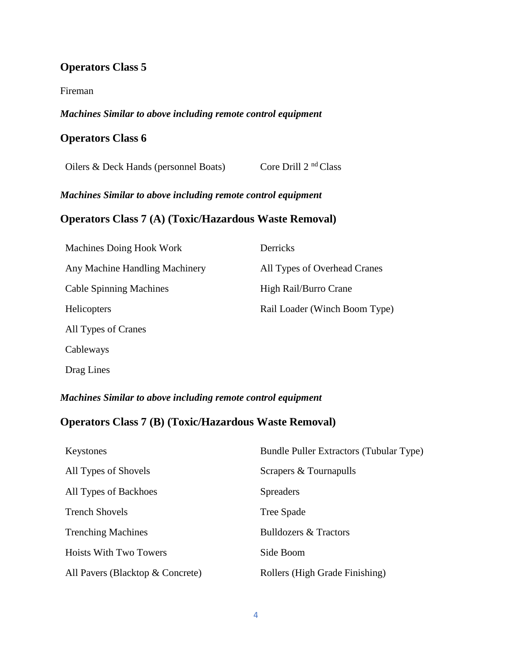## **Operators Class 5**

#### Fireman

#### *Machines Similar to above including remote control equipment*

#### **Operators Class 6**

Oilers & Deck Hands (personnel Boats) Core Drill 2<sup>nd</sup> Class

*Machines Similar to above including remote control equipment*

#### **Operators Class 7 (A) (Toxic/Hazardous Waste Removal)**

| Machines Doing Hook Work       | <b>Derricks</b>               |
|--------------------------------|-------------------------------|
| Any Machine Handling Machinery | All Types of Overhead Cranes  |
| <b>Cable Spinning Machines</b> | High Rail/Burro Crane         |
| <b>Helicopters</b>             | Rail Loader (Winch Boom Type) |
| All Types of Cranes            |                               |
| Cableways                      |                               |
|                                |                               |

Drag Lines

*Machines Similar to above including remote control equipment*

## **Operators Class 7 (B) (Toxic/Hazardous Waste Removal)**

| Keystones                        | Bundle Puller Extractors (Tubular Type) |
|----------------------------------|-----------------------------------------|
| All Types of Shovels             | Scrapers & Tournapulls                  |
| All Types of Backhoes            | <b>Spreaders</b>                        |
| <b>Trench Shovels</b>            | Tree Spade                              |
| <b>Trenching Machines</b>        | <b>Bulldozers &amp; Tractors</b>        |
| Hoists With Two Towers           | Side Boom                               |
| All Pavers (Blacktop & Concrete) | Rollers (High Grade Finishing)          |